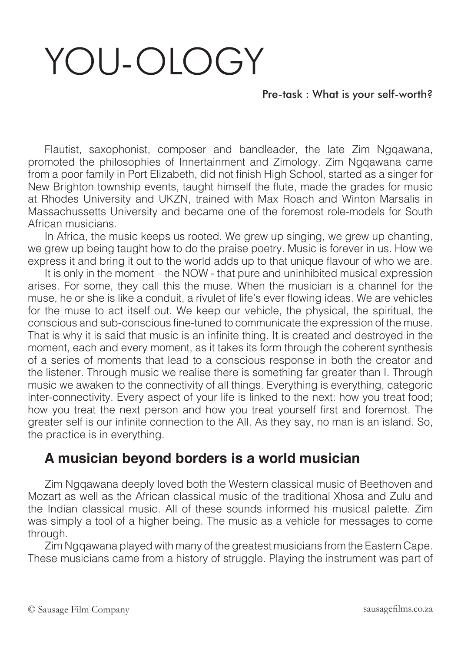## YOU-OLOGY

## Pre-task : What is your self-worth?

Flautist, saxophonist, composer and bandleader, the late Zim Ngqawana, promoted the philosophies of Innertainment and Zimology. Zim Ngqawana came from a poor family in Port Elizabeth, did not finish High School, started as a singer for New Brighton township events, taught himself the flute, made the grades for music at Rhodes University and UKZN, trained with Max Roach and Winton Marsalis in Massachussetts University and became one of the foremost role-models for South African musicians.

In Africa, the music keeps us rooted. We grew up singing, we grew up chanting, we grew up being taught how to do the praise poetry. Music is forever in us. How we express it and bring it out to the world adds up to that unique flavour of who we are.

It is only in the moment – the NOW - that pure and uninhibited musical expression arises. For some, they call this the muse. When the musician is a channel for the muse, he or she is like a conduit, a rivulet of life's ever flowing ideas. We are vehicles for the muse to act itself out. We keep our vehicle, the physical, the spiritual, the conscious and sub-conscious fine-tuned to communicate the expression of the muse. That is why it is said that music is an infinite thing. It is created and destroyed in the moment, each and every moment, as it takes its form through the coherent synthesis of a series of moments that lead to a conscious response in both the creator and the listener. Through music we realise there is something far greater than I. Through music we awaken to the connectivity of all things. Everything is everything, categoric inter-connectivity. Every aspect of your life is linked to the next: how you treat food; how you treat the next person and how you treat yourself first and foremost. The greater self is our infinite connection to the All. As they say, no man is an island. So, the practice is in everything.

## **A musician beyond borders is a world musician**

Zim Ngqawana deeply loved both the Western classical music of Beethoven and Mozart as well as the African classical music of the traditional Xhosa and Zulu and the Indian classical music. All of these sounds informed his musical palette. Zim was simply a tool of a higher being. The music as a vehicle for messages to come through.

Zim Ngqawana played with many of the greatest musicians from the Eastern Cape. These musicians came from a history of struggle. Playing the instrument was part of